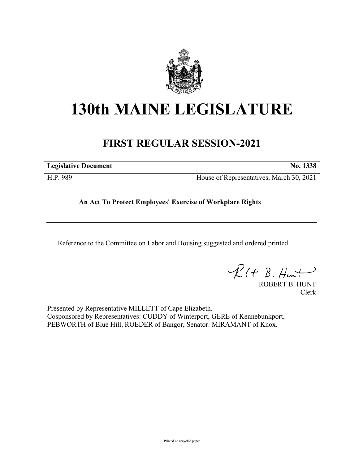

## **130th MAINE LEGISLATURE**

## **FIRST REGULAR SESSION-2021**

**Legislative Document No. 1338**

H.P. 989 House of Representatives, March 30, 2021

**An Act To Protect Employees' Exercise of Workplace Rights**

Reference to the Committee on Labor and Housing suggested and ordered printed.

 $R(H B. Hmt)$ 

ROBERT B. HUNT Clerk

Presented by Representative MILLETT of Cape Elizabeth. Cosponsored by Representatives: CUDDY of Winterport, GERE of Kennebunkport, PEBWORTH of Blue Hill, ROEDER of Bangor, Senator: MIRAMANT of Knox.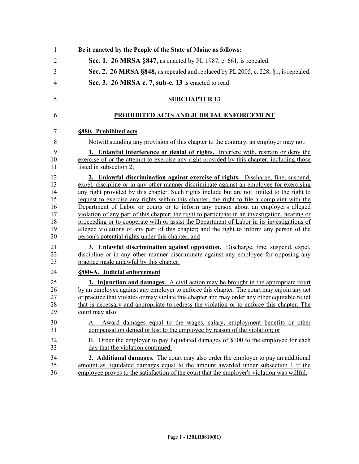| $\mathbf{1}$                                       | Be it enacted by the People of the State of Maine as follows:                                                                                                                                                                                                                                                                                                                                                                                                                                                                                                                                                                                                                                                                                                                                                     |
|----------------------------------------------------|-------------------------------------------------------------------------------------------------------------------------------------------------------------------------------------------------------------------------------------------------------------------------------------------------------------------------------------------------------------------------------------------------------------------------------------------------------------------------------------------------------------------------------------------------------------------------------------------------------------------------------------------------------------------------------------------------------------------------------------------------------------------------------------------------------------------|
| $\overline{2}$                                     | Sec. 1. 26 MRSA §847, as enacted by PL 1987, c. 661, is repealed.                                                                                                                                                                                                                                                                                                                                                                                                                                                                                                                                                                                                                                                                                                                                                 |
| 3                                                  | Sec. 2. 26 MRSA §848, as repealed and replaced by PL 2005, c. 228, §1, is repealed.                                                                                                                                                                                                                                                                                                                                                                                                                                                                                                                                                                                                                                                                                                                               |
| 4                                                  | Sec. 3. 26 MRSA c. 7, sub-c. 13 is enacted to read:                                                                                                                                                                                                                                                                                                                                                                                                                                                                                                                                                                                                                                                                                                                                                               |
|                                                    |                                                                                                                                                                                                                                                                                                                                                                                                                                                                                                                                                                                                                                                                                                                                                                                                                   |
| 5                                                  | <b>SUBCHAPTER 13</b>                                                                                                                                                                                                                                                                                                                                                                                                                                                                                                                                                                                                                                                                                                                                                                                              |
| 6                                                  | PROHIBITED ACTS AND JUDICIAL ENFORCEMENT                                                                                                                                                                                                                                                                                                                                                                                                                                                                                                                                                                                                                                                                                                                                                                          |
| 7                                                  | §880. Prohibited acts                                                                                                                                                                                                                                                                                                                                                                                                                                                                                                                                                                                                                                                                                                                                                                                             |
| 8                                                  | Notwithstanding any provision of this chapter to the contrary, an employer may not:                                                                                                                                                                                                                                                                                                                                                                                                                                                                                                                                                                                                                                                                                                                               |
| 9<br>10<br>11                                      | 1. Unlawful interference or denial of rights. Interfere with, restrain or deny the<br>exercise of or the attempt to exercise any right provided by this chapter, including those<br>listed in subsection 2;                                                                                                                                                                                                                                                                                                                                                                                                                                                                                                                                                                                                       |
| 12<br>13<br>14<br>15<br>16<br>17<br>18<br>19<br>20 | 2. Unlawful discrimination against exercise of rights. Discharge, fine, suspend,<br>expel, discipline or in any other manner discriminate against an employee for exercising<br>any right provided by this chapter. Such rights include but are not limited to the right to<br>request to exercise any rights within this chapter; the right to file a complaint with the<br>Department of Labor or courts or to inform any person about an employer's alleged<br>violation of any part of this chapter; the right to participate in an investigation, hearing or<br>proceeding or to cooperate with or assist the Department of Labor in its investigations of<br>alleged violations of any part of this chapter; and the right to inform any person of the<br>person's potential rights under this chapter; and |
| 21<br>22<br>23                                     | 3. Unlawful discrimination against opposition. Discharge, fine, suspend, expel,<br>discipline or in any other manner discriminate against any employee for opposing any<br>practice made unlawful by this chapter.                                                                                                                                                                                                                                                                                                                                                                                                                                                                                                                                                                                                |
| 24                                                 | §880-A. Judicial enforcement                                                                                                                                                                                                                                                                                                                                                                                                                                                                                                                                                                                                                                                                                                                                                                                      |
| 25<br>26<br>27<br>28<br>29                         | 1. Injunction and damages. A civil action may be brought in the appropriate court<br>by an employee against any employer to enforce this chapter. The court may enjoin any act<br>or practice that violates or may violate this chapter and may order any other equitable relief<br>that is necessary and appropriate to redress the violation or to enforce this chapter. The<br>court may also:                                                                                                                                                                                                                                                                                                                                                                                                                 |
| 30<br>31                                           | Award damages equal to the wages, salary, employment benefits or other<br>А.<br>compensation denied or lost to the employee by reason of the violation; or                                                                                                                                                                                                                                                                                                                                                                                                                                                                                                                                                                                                                                                        |
| 32<br>33                                           | B. Order the employer to pay liquidated damages of \$100 to the employee for each<br>day that the violation continued.                                                                                                                                                                                                                                                                                                                                                                                                                                                                                                                                                                                                                                                                                            |
| 34<br>35<br>36                                     | 2. Additional damages. The court may also order the employer to pay an additional<br>amount as liquidated damages equal to the amount awarded under subsection 1 if the<br>employee proves to the satisfaction of the court that the employer's violation was willful.                                                                                                                                                                                                                                                                                                                                                                                                                                                                                                                                            |